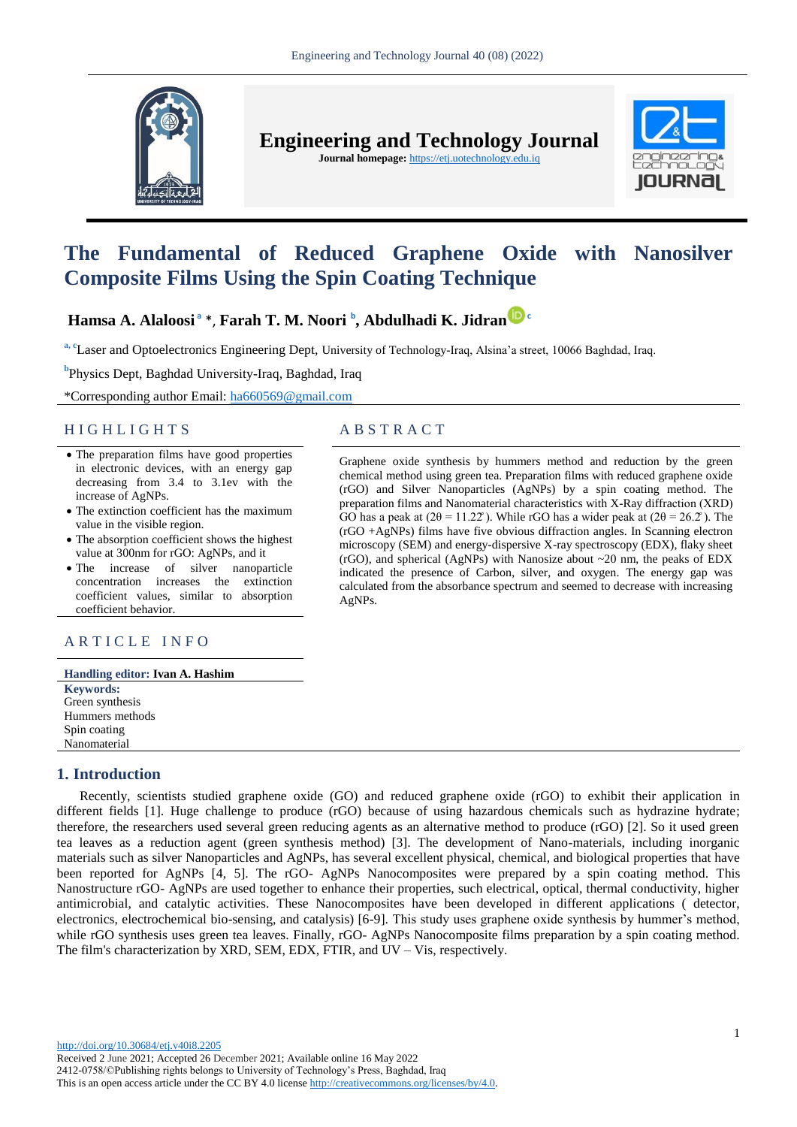

**Engineering and Technology Journal** 

**Journal homepage:** https://etj.uotechnology.edu.iq



# **The Fundamental of Reduced Graphene Oxide with Nanosilver Composite Films Using the Spin Coating Technique**

## **Hamsa A. Alaloosi <sup>a</sup>** \*, **Farah T. M. Noori <sup>b</sup> , Abdulhadi K. Jidran [c](https://orcid.org/0000-0003-1731-1238)**

<sup>a, c</sup>Laser and Optoelectronics Engineering Dept, University of Technology-Iraq, Alsina'a street, 10066 Baghdad, Iraq.

**b** Physics Dept, Baghdad University-Iraq, Baghdad, Iraq

\*Corresponding author Email: [ha660569@gmail.com](mailto:linamohmmed91@gmail.com)

#### H I G H L I G H T S A B S T R A C T

- The preparation films have good properties in electronic devices, with an energy gap decreasing from 3.4 to 3.1ev with the increase of AgNPs.
- The extinction coefficient has the maximum value in the visible region.
- The absorption coefficient shows the highest value at 300nm for rGO: AgNPs, and it
- The increase of silver nanoparticle concentration increases the extinction coefficient values, similar to absorption coefficient behavior.

### ARTICLE INFO

| Handling editor: Ivan A. Hashim |
|---------------------------------|
| <b>Keywords:</b>                |
| Green synthesis                 |
| Hummers methods                 |
| Spin coating                    |
| Nanomaterial                    |

### **1. Introduction**

Recently, scientists studied graphene oxide (GO) and reduced graphene oxide (rGO) to exhibit their application in different fields [1]. Huge challenge to produce (rGO) because of using hazardous chemicals such as hydrazine hydrate; therefore, the researchers used several green reducing agents as an alternative method to produce (rGO) [2]. So it used green tea leaves as a reduction agent (green synthesis method) [3]. The development of Nano-materials, including inorganic materials such as silver Nanoparticles and AgNPs, has several excellent physical, chemical, and biological properties that have been reported for AgNPs [4, 5]. The rGO- AgNPs Nanocomposites were prepared by a spin coating method. This Nanostructure rGO- AgNPs are used together to enhance their properties, such electrical, optical, thermal conductivity, higher antimicrobial, and catalytic activities. These Nanocomposites have been developed in different applications ( detector, electronics, electrochemical bio-sensing, and catalysis) [6-9]. This study uses graphene oxide synthesis by hummer's method, while rGO synthesis uses green tea leaves. Finally, rGO- AgNPs Nanocomposite films preparation by a spin coating method. The film's characterization by XRD, SEM, EDX, FTIR, and UV – Vis, respectively.

Graphene oxide synthesis by hummers method and reduction by the green chemical method using green tea. Preparation films with reduced graphene oxide (rGO) and Silver Nanoparticles (AgNPs) by a spin coating method. The preparation films and Nanomaterial characteristics with X-Ray diffraction (XRD) GO has a peak at ( $2\theta = 11.22^\circ$ ). While rGO has a wider peak at ( $2\theta = 26.2^\circ$ ). The (rGO +AgNPs) films have five obvious diffraction angles. In Scanning electron microscopy (SEM) and energy-dispersive X-ray spectroscopy (EDX), flaky sheet (rGO), and spherical (AgNPs) with Nanosize about  $\sim$ 20 nm, the peaks of EDX indicated the presence of Carbon, silver, and oxygen. The energy gap was calculated from the absorbance spectrum and seemed to decrease with increasing AgNPs.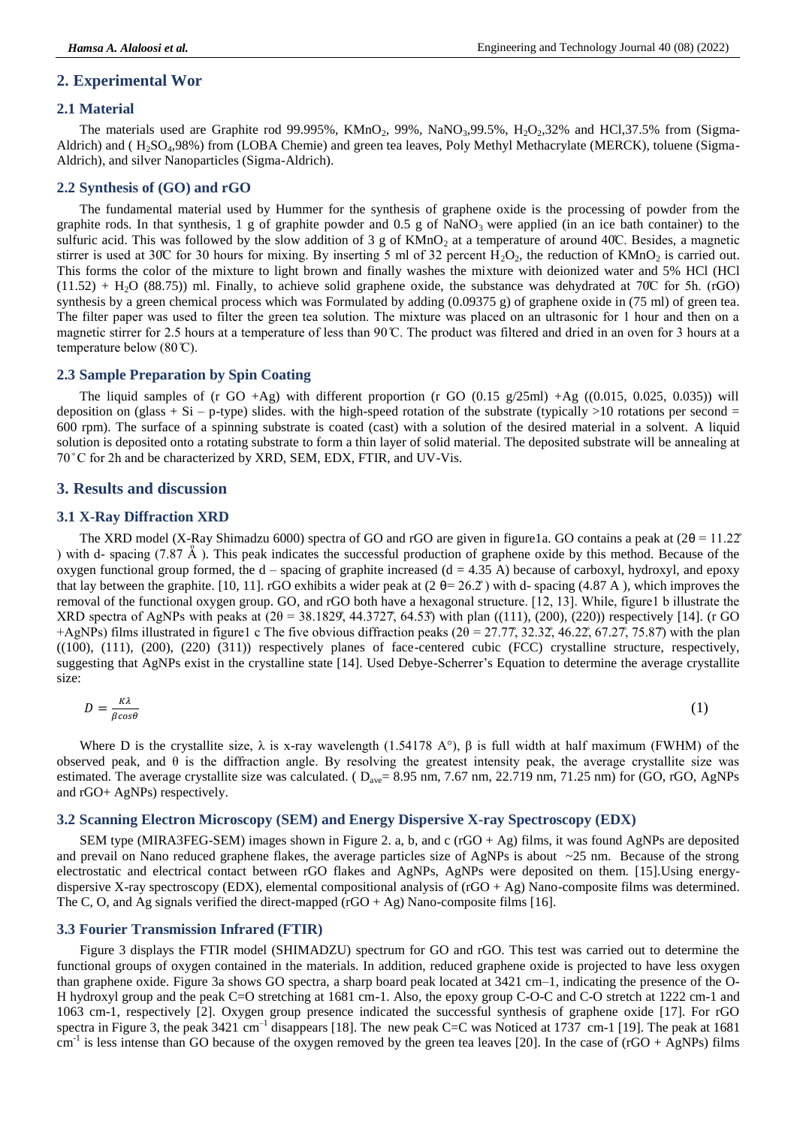#### **2. Experimental Wor**

#### **2.1 Material**

The materials used are Graphite rod 99.995%, KMnO<sub>2</sub>, 99%, NaNO<sub>3</sub>,99.5%, H<sub>2</sub>O<sub>2</sub>,32% and HCl,37.5% from (Sigma-Aldrich) and ( H<sub>2</sub>SO<sub>4</sub>, 98%) from (LOBA Chemie) and green tea leaves, Poly Methyl Methacrylate (MERCK), toluene (Sigma-Aldrich), and silver Nanoparticles (Sigma-Aldrich).

#### **2.2 Synthesis of (GO) and rGO**

The fundamental material used by Hummer for the synthesis of graphene oxide is the processing of powder from the graphite rods. In that synthesis, 1 g of graphite powder and  $0.5$  g of NaNO<sub>3</sub> were applied (in an ice bath container) to the sulfuric acid. This was followed by the slow addition of 3 g of  $KMnO<sub>2</sub>$  at a temperature of around 40°C. Besides, a magnetic stirrer is used at 30°C for 30 hours for mixing. By inserting 5 ml of 32 percent  $H_2O_2$ , the reduction of  $KMnO_2$  is carried out. This forms the color of the mixture to light brown and finally washes the mixture with deionized water and 5% HCl (HCl  $(11.52)$  + H<sub>2</sub>O (88.75)) ml. Finally, to achieve solid graphene oxide, the substance was dehydrated at 70°C for 5h. (rGO) synthesis by a green chemical process which was Formulated by adding (0.09375 g) of graphene oxide in (75 ml) of green tea. The filter paper was used to filter the green tea solution. The mixture was placed on an ultrasonic for 1 hour and then on a magnetic stirrer for 2.5 hours at a temperature of less than 90 C. The product was filtered and dried in an oven for 3 hours at a temperature below  $(80 \text{°C})$ .

#### **2.3 Sample Preparation by Spin Coating**

The liquid samples of (r GO +Ag) with different proportion (r GO  $(0.15 \text{ g}/25 \text{ml})$  +Ag  $((0.015, 0.025, 0.035))$  will deposition on (glass + Si – p-type) slides. with the high-speed rotation of the substrate (typically  $>10$  rotations per second = 600 rpm). The surface of a spinning substrate is coated (cast) with a solution of the desired material in a solvent. A liquid solution is deposited onto a rotating substrate to form a thin layer of solid material. The deposited substrate will be annealing at 70 °C for 2h and be characterized by XRD, SEM, EDX, FTIR, and UV-Vis.

#### **3. Results and discussion**

#### **3.1 X-Ray Diffraction XRD**

The XRD model (X-Ray Shimadzu 6000) spectra of GO and rGO are given in figure1a. GO contains a peak at ( $2\theta = 11.22^\circ$ ) with d- spacing  $(7.87 \text{ Å})$ . This peak indicates the successful production of graphene oxide by this method. Because of the oxygen functional group formed, the  $d$  – spacing of graphite increased  $(d = 4.35 \text{ A})$  because of carboxyl, hydroxyl, and epoxy that lay between the graphite. [10, 11]. rGO exhibits a wider peak at  $(2 \theta = 26.2^{\circ})$  with d- spacing (4.87 A), which improves the removal of the functional oxygen group. GO, and rGO both have a hexagonal structure. [12, 13]. While, figure1 b illustrate the XRD spectra of AgNPs with peaks at  $(2\theta = 38.1829, 44.3727, 64.53)$  with plan  $((111), (200), (220))$  respectively [14]. (r GO +AgNPs) films illustrated in figure1 c The five obvious diffraction peaks  $(2\theta = 27.77, 32.32, 46.22, 67.27, 75.87)$  with the plan ((100), (111), (200), (220) (311)) respectively planes of face-centered cubic (FCC) crystalline structure, respectively, suggesting that AgNPs exist in the crystalline state [14]. Used Debye-Scherrer's Equation to determine the average crystallite size:

$$
D = \frac{\kappa \lambda}{\beta \cos \theta} \tag{1}
$$

Where D is the crystallite size,  $\lambda$  is x-ray wavelength (1.54178 A°),  $\beta$  is full width at half maximum (FWHM) of the observed peak, and  $\theta$  is the diffraction angle. By resolving the greatest intensity peak, the average crystallite size was estimated. The average crystallite size was calculated. ( $D_{ave} = 8.95$  nm,  $7.67$  nm,  $22.719$  nm,  $71.25$  nm) for (GO, rGO, AgNPs and rGO+ AgNPs) respectively.

#### **3.2 Scanning Electron Microscopy (SEM) and Energy Dispersive X-ray Spectroscopy (EDX)**

SEM type (MIRA3FEG-SEM) images shown in Figure 2. a, b, and c (rGO + Ag) films, it was found AgNPs are deposited and prevail on Nano reduced graphene flakes, the average particles size of AgNPs is about  $\sim$ 25 nm. Because of the strong electrostatic and electrical contact between rGO flakes and AgNPs, AgNPs were deposited on them. [15].Using energydispersive X-ray spectroscopy (EDX), elemental compositional analysis of  $(rdO + Ag)$  Nano-composite films was determined. The C, O, and Ag signals verified the direct-mapped  $(rgO + Ag)$  Nano-composite films [16].

#### **3.3 Fourier Transmission Infrared (FTIR)**

Figure 3 displays the FTIR model (SHIMADZU) spectrum for GO and rGO. This test was carried out to determine the functional groups of oxygen contained in the materials. In addition, reduced graphene oxide is projected to have less oxygen than graphene oxide. Figure 3a shows GO spectra, a sharp board peak located at 3421 cm–1, indicating the presence of the O-H hydroxyl group and the peak C=O stretching at 1681 cm-1. Also, the epoxy group C-O-C and C-O stretch at 1222 cm-1 and 1063 cm-1, respectively [2]. Oxygen group presence indicated the successful synthesis of graphene oxide [17]. For rGO spectra in Figure 3, the peak  $3421 \text{ cm}^{-1}$  disappears [18]. The new peak C=C was Noticed at 1737 cm-1 [19]. The peak at 1681  $cm<sup>-1</sup>$  is less intense than GO because of the oxygen removed by the green tea leaves [20]. In the case of (rGO + AgNPs) films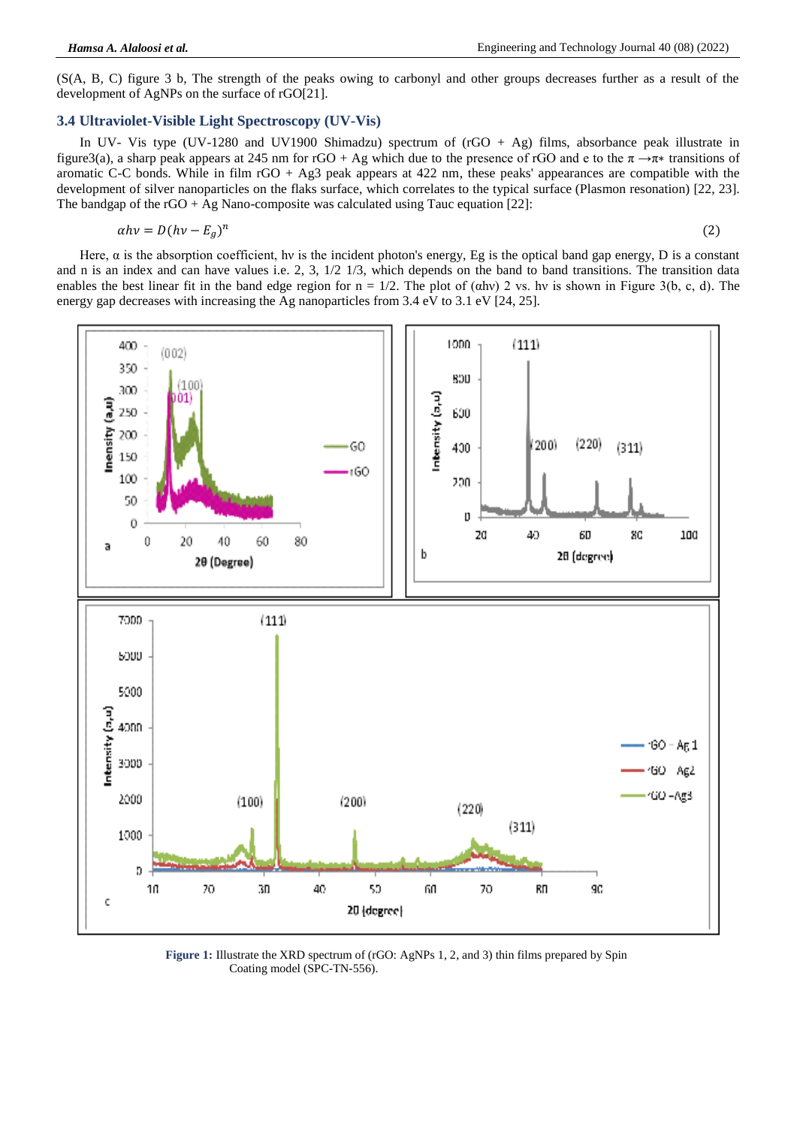(S(A, B, C) figure 3 b, The strength of the peaks owing to carbonyl and other groups decreases further as a result of the development of AgNPs on the surface of rGO[21].

#### **3.4 Ultraviolet-Visible Light Spectroscopy (UV-Vis)**

In UV- Vis type (UV-1280 and UV1900 Shimadzu) spectrum of (rGO + Ag) films, absorbance peak illustrate in figure3(a), a sharp peak appears at 245 nm for rGO + Ag which due to the presence of rGO and e to the  $\pi \rightarrow \pi*$  transitions of aromatic C-C bonds. While in film rGO + Ag3 peak appears at 422 nm, these peaks' appearances are compatible with the development of silver nanoparticles on the flaks surface, which correlates to the typical surface (Plasmon resonation) [22, 23]. The bandgap of the rGO + Ag Nano-composite was calculated using Tauc equation [22]:

$$
\alpha h v = D(hv - E_a)^n
$$

$$
(2)
$$

Here,  $\alpha$  is the absorption coefficient, hv is the incident photon's energy, Eg is the optical band gap energy, D is a constant and n is an index and can have values i.e. 2, 3, 1/2 1/3, which depends on the band to band transitions. The transition data enables the best linear fit in the band edge region for  $n = 1/2$ . The plot of  $(\alpha hv)$  2 vs. hv is shown in Figure 3(b, c, d). The energy gap decreases with increasing the Ag nanoparticles from 3.4 eV to 3.1 eV [24, 25].



**Figure 1:** Illustrate the XRD spectrum of (rGO: AgNPs 1, 2, and 3) thin films prepared by Spin Coating model (SPC-TN-556).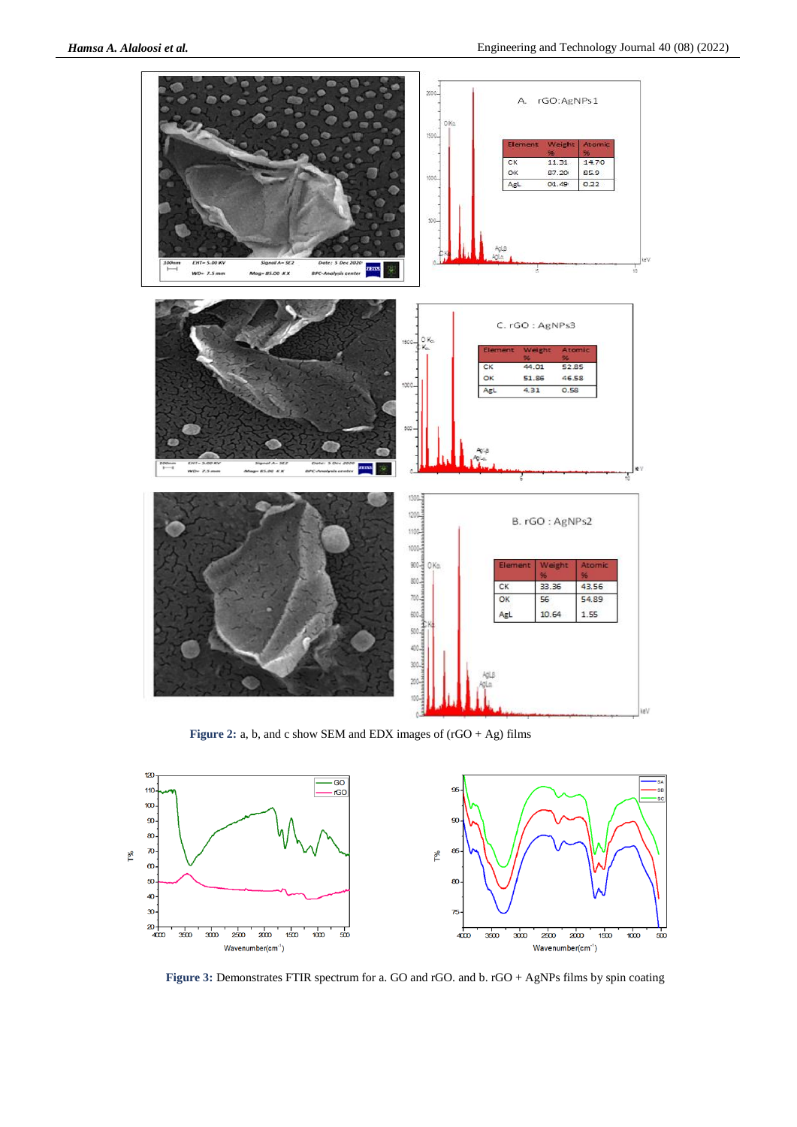

**Figure 2:** a, b, and c show SEM and EDX images of (rGO + Ag) films



**Figure 3:** Demonstrates FTIR spectrum for a. GO and rGO. and b. rGO + AgNPs films by spin coating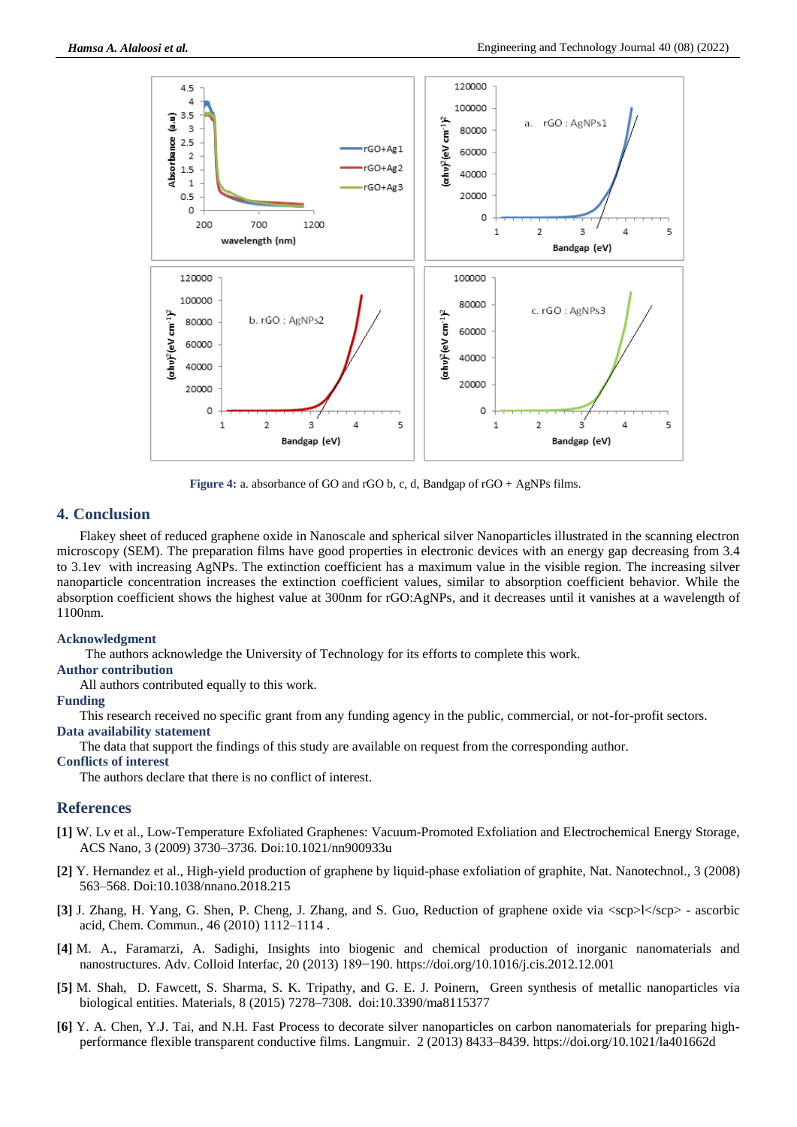

**Figure 4:** a. absorbance of GO and rGO b, c, d, Bandgap of rGO + AgNPs films.

#### **4. Conclusion**

Flakey sheet of reduced graphene oxide in Nanoscale and spherical silver Nanoparticles illustrated in the scanning electron microscopy (SEM). The preparation films have good properties in electronic devices with an energy gap decreasing from 3.4 to 3.1ev with increasing AgNPs. The extinction coefficient has a maximum value in the visible region. The increasing silver nanoparticle concentration increases the extinction coefficient values, similar to absorption coefficient behavior. While the absorption coefficient shows the highest value at 300nm for rGO:AgNPs, and it decreases until it vanishes at a wavelength of 1100nm.

#### **Acknowledgment**

The authors acknowledge the University of Technology for its efforts to complete this work.

#### **Author contribution**

All authors contributed equally to this work.

#### **Funding**

This research received no specific grant from any funding agency in the public, commercial, or not-for-profit sectors.

#### **Data availability statement**

The data that support the findings of this study are available on request from the corresponding author.

#### **Conflicts of interest**

The authors declare that there is no conflict of interest.

#### **References**

- **[1]** W. Lv et al., Low-Temperature Exfoliated Graphenes: Vacuum-Promoted Exfoliation and Electrochemical Energy Storage, ACS Nano, 3 (2009) 3730–3736. Doi:10.1021/nn900933u
- **[2]** Y. Hernandez et al., High-yield production of graphene by liquid-phase exfoliation of graphite, Nat. Nanotechnol., 3 (2008) 563–568. Doi:10.1038/nnano.2018.215
- **[3]** J. Zhang, H. Yang, G. Shen, P. Cheng, J. Zhang, and S. Guo, Reduction of graphene oxide via <scp>l</scp> ascorbic acid, Chem. Commun., 46 (2010) 1112–1114 .
- **[4]** M. A., Faramarzi, A. Sadighi, Insights into biogenic and chemical production of inorganic nanomaterials and nanostructures. Adv. Colloid Interfac, 20 (2013) 189−190. https://doi.org/10.1016/j.cis.2012.12.001
- **[5]** M. Shah, D. Fawcett, S. Sharma, S. K. Tripathy, and G. E. J. Poinern, Green synthesis of metallic nanoparticles via biological entities. Materials, 8 (2015) 7278–7308. doi:10.3390/ma8115377
- **[6]** Y. A. Chen, Y.J. Tai, and N.H. Fast Process to decorate silver nanoparticles on carbon nanomaterials for preparing highperformance flexible transparent conductive films. Langmuir. 2 (2013) 8433–8439. https://doi.org/10.1021/la401662d